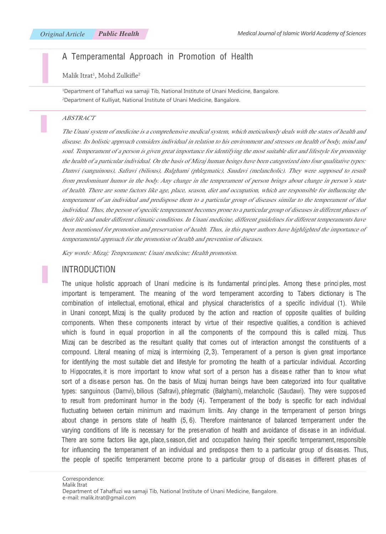# A Temperamental Approach in Promotion of Health

Malik Itrat<sup>1</sup>, Mohd Zulkifle<sup>2</sup>

1 Department of Tahaffuzi wa samaji Tib, National Institute of Unani Medicine, Bangalore. 2 Department of Kulliyat, National Institute of Unani Medicine, Bangalore.

#### ABSTRACT

The Unani system of medicine is a comprehensive medical system, which meticulously deals with the states of health and disease. Its holistic approach considers individual in relation to his environment and stresses on health of body, mind and soul. Temperament of a person is given great importance for identifying the most suitable diet and lifestyle for promoting the health of a particular individual. On the basis of Mizaj human beings have been categorized into four qualitative types: Damvi (sanguinous), Safravi (bilious), Balghami (phlegmatic), Saudavi (melancholic). They were supposed to result from predominant humor in the body. Any change in the temperament of person brings about change in person's state of health. There are some factors like age, place, season, diet and occupation, which are responsible for influencing the temperament of an individual and predispose them to a particular group of diseases similar to the temperament of that individual. Thus, the person of specific temperament becomes prone to a particular group of diseases in different phases of their life and under different climatic conditions. In Unani medicine, different guidelines for different temperaments have been mentioned for promotion and preservation of health. Thus, in this paper authors have highlighted the importance of temperamental approach for the promotion of health and prevention of diseases.

Key words: Mizaj; Temperament; Unani medicine; Health promotion.

### INTRODUCTION

The unique holistic approach of Unani medicine is its fundamental principles. Among these principles, most important is temperament. The meaning of the word temperament according to Tabers dictionary is The combination of intellectual, emotional, ethical and physical characteristics of a specific individual (1). While in Unani concept, Mizaj is the quality produced by the action and reaction of opposite qualities of building components. When these components interact by virtue of their respective qualities, a condition is achieved which is found in equal proportion in all the components of the compound this is called mizaj. Thus Mizaj can be described as the resultant quality that comes out of interaction amongst the constituents of a compound. Literal meaning of mizaj is intermixing (2, 3). Temperament of a person is given great importance for identifying the most suitable diet and lifestyle for promoting the health of a particular individual. According to Hippocrates, it is more important to know what sort of a person has a disease rather than to know what sort of a disease person has. On the basis of Mizaj human beings have been categorized into four qualitative types: sanguinous (Damvi), bilious (Safravi), phlegmatic (Balghami), melancholic (Saudawi). They were supposed to result from predominant humor in the body (4). Temperament of the body is specific for each individual fluctuating between certain minimum and maximum limits. Any change in the temperament of person brings about change in persons state of health (5, 6). Therefore maintenance of balanced temperament under the varying conditions of life is necessary for the preservation of health and avoidance of disease in an individual. There are some factors like age, place, season, diet and occupation having their specific temperament, responsible for influencing the temperament of an individual and predispose them to a particular group of diseases. Thus, the people of specific temperament become prone to a particular group of diseases in different phases of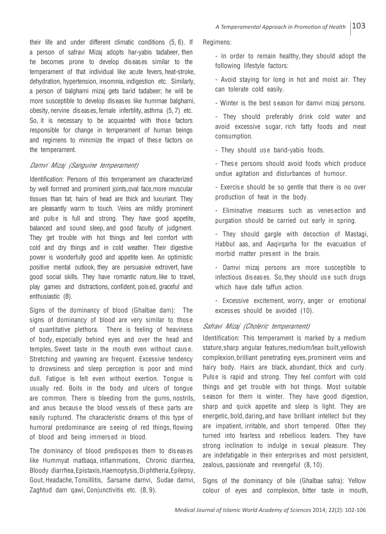their life and under different climatic conditions (5, 6). If a person of safravi Mizaj adopts har-yabis tadabeer, then he becomes prone to develop diseases similar to the temperament of that individual like acute fevers, heat-stroke, dehydration, hypertension, insomnia, indigestion etc. Similarly, a person of balghami mizaj gets barid tadabeer; he will be more susceptible to develop diseases like hummae balghami, obesity, nervine diseases, female infertility, asthma (5, 7) etc. So, it is necessary to be acquainted with those factors responsible for change in temperament of human beings and regimens to minimize the impact of these factors on the temperament.

#### Damvi Mizaj (Sanguine temperament)

Identification: Persons of this temperament are characterized by well formed and prominent joints, oval face, more muscular tissues than fat; hairs of head are thick and luxuriant. They are pleasantly warm to touch. Veins are mildly prominent and pulse is full and strong. They have good appetite, balanced and sound sleep, and good faculty of judgment. They get trouble with hot things and feel comfort with cold and dry things and in cold weather. Their digestive power is wonderfully good and appetite keen. An optimistic positive mental outlook, they are persuasive extrovert, have good social skills. They have romantic nature, like to travel, play games and distractions, confident, poised, graceful and enthusiastic (8).

Signs of the dominancy of blood (Ghalbae dam): The signs of dominancy of blood are very similar to those of quantitative plethora. There is feeling of heaviness of body, especially behind eyes and over the head and temples, Sweet taste in the mouth even without caus e. Stretching and yawning are frequent. Excessive tendency to drowsiness and sleep perception is poor and mind dull. Fatigue is felt even without exertion. Tongue is usually red. Boils in the body and ulcers of tongue are common. There is bleeding from the gums, nostrils, and anus because the blood vessels of these parts are easily ruptured. The characteristic dreams of this type of humoral predominance are s eeing of red things, flowing of blood and being immers ed in blood.

The dominancy of blood predispos es them to dis eas es like Hummyat matbaqa, inflammations, Chronic diarrhea, Bloody diarrhea, Epistaxis, Haemoptysis, Di phtheria, Epilepsy, Gout, Headache, Tonsillitis, Sarsame damvi, Sudae damvi, Zaghtud dam qawi, Conjunctivitis etc. (8, 9).

Regimens:

- In order to remain healthy, they should adopt the following lifestyle factors:

- Avoid staying for long in hot and moist air. They can tolerate cold easily.

- Winter is the best s eason for damvi mizaj persons.

- They should preferably drink cold water and avoid excessive sugar, rich fatty foods and meat consumption.

- They should use barid-yabis foods.

- Thes e persons should avoid foods which produce undue agitation and disturbances of humour.

- Exercise should be so gentle that there is no over production of heat in the body.

- Eliminative measures such as venes ection and purgation should be carried out early in spring.

- They should gargle with decoction of Mastagi, Habbul aas, and Aaqirqarha for the evacuation of morbid matter pres ent in the brain.

•- Damvi mizaj persons are more susceptible to infectious dis eas es. So, they should us e such drugs which have dafe taffun action.

- Excessive excitement, worry, anger or emotional excess es should be avoided (10).

### Safravi Mizaj (Choleric temperament)

Identification: This temperament is marked by a medium stature, sharp angular features, medium/lean built, yellowish complexion, brilliant penetrating eyes, prominent veins and hairy body. Hairs are black, abundant, thick and curly. Pulse is rapid and strong. They feel comfort with cold things and get trouble with hot things. Most suitable s eason for them is winter. They have good digestion, sharp and quick appetite and sleep is light. They are energetic, bold, daring, and have brilliant intellect but they are impatient, irritable, and short tempered. Often they turned into fearless and rebellious leaders. They have strong inclination to indulge in sexual pleasure. They are indefatigable in their enterpris es and most persistent, zealous, passionate and revengeful (8, 10).

Signs of the dominancy of bile (Ghalbae safra): Yellow colour of eyes and complexion, bitter taste in mouth,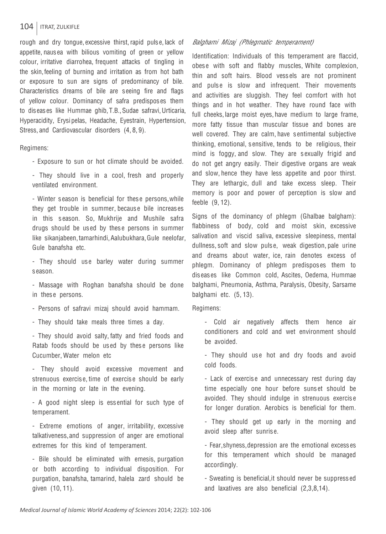### 104 | ITRAT, ZULKIFLE

rough and dry tongue, excessive thirst, rapid pulse, lack of appetite, nausea with bilious vomiting of green or yellow colour, irritative diarrohea, frequent attacks of tingling in the skin, feeling of burning and irritation as from hot bath or exposure to sun are signs of predominancy of bile. Characteristics dreams of bile are seeing fire and flags of yellow colour. Dominancy of safra predisposes them to diseases like Hummae ghib, T.B., Sudae safravi, Urticaria, Hyperacidity, Erysipelas, Headache, Eyestrain, Hypertension, Stress, and Cardiovascular disorders (4, 8, 9).

Regimens:

- Exposure to sun or hot climate should be avoided.

- They should live in a cool, fresh and properly ventilated environment.

- Winter season is beneficial for these persons, while they get trouble in summer, because bile increases in this s eason. So, Mukhrije and Mushile safra drugs should be us ed by thes e persons in summer like sikanjabeen, tamarhindi, Aalubukhara, Gule neelofar, Gule banafsha etc.

- They should use barley water during summer s eason.

•- Massage with Roghan banafsha should be done in these persons.

- Persons of safravi mizaj should avoid hammam.

•- They should take meals three times a day.

•- They should avoid salty, fatty and fried foods and Ratab foods should be us ed by thes e persons like Cucumber, Water melon etc

•- They should avoid excessive movement and strenuous exercise, time of exercise should be early in the morning or late in the evening.

•- A good night sleep is ess ential for such type of temperament.

•- Extreme emotions of anger, irritability, excessive talkativeness, and suppression of anger are emotional extremes for this kind of temperament.

•- Bile should be eliminated with emesis, purgation or both according to individual disposition. For purgation, banafsha, tamarind, halela zard should be given (10, 11).

#### Balghami Mizaj (Phlegmatic temperament)

Identification: Individuals of this temperament are flaccid, obese with soft and flabby muscles. White complexion, thin and soft hairs. Blood vess els are not prominent and pulse is slow and infrequent. Their movements and activities are sluggish. They feel comfort with hot things and in hot weather. They have round face with full cheeks, large moist eyes, have medium to large frame, more fatty tissue than muscular tissue and bones are well covered. They are calm, have sentimental subjective thinking, emotional, s ensitive, tends to be religious, their mind is foggy, and slow. They are sexually frigid and do not get angry easily. Their digestive organs are weak and slow, hence they have less appetite and poor thirst. They are lethargic, dull and take excess sleep. Their memory is poor and power of perception is slow and feeble (9, 12).

Signs of the dominancy of phlegm (Ghalbae balgham): flabbiness of body, cold and moist skin, excessive salivation and viscid saliva, excessive sleepiness, mental dullness, soft and slow puls e, weak digestion, pale urine and dreams about water, ice, rain denotes excess of phlegm. Dominancy of phlegm predispos es them to dis eas es like Common cold, Ascites, Oedema, Hummae balghami, Pneumonia, Asthma, Paralysis, Obesity, Sarsame balghami etc. (5, 13).

Regimens:

•- Cold air negatively affects them hence air conditioners and cold and wet environment should be avoided.

- They should use hot and dry foods and avoid cold foods.

- Lack of exercise and unnecessary rest during day time especially one hour before suns et should be avoided. They should indulge in strenuous exercis e for longer duration. Aerobics is beneficial for them.

•- They should get up early in the morning and avoid sleep after sunris e.

•- Fear, shyness, depression are the emotional excess es for this temperament which should be managed accordingly.

- Sweating is beneficial, it should never be suppress ed and laxatives are also beneficial (2,3,8,14).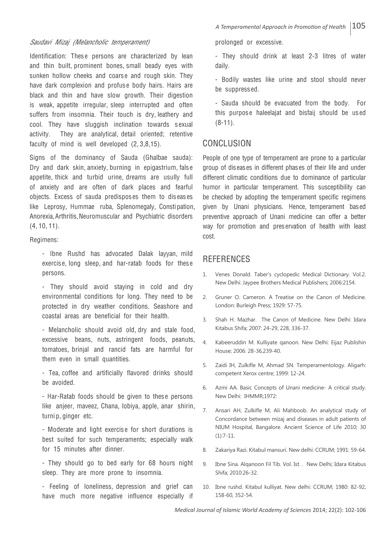#### Saudavi Mizaj (Melancholic temperament)

Identification: These persons are characterized by lean and thin built, prominent bones, small beady eyes with sunken hollow cheeks and coarse and rough skin. They have dark complexion and profuse body hairs. Hairs are black and thin and have slow growth. Their digestion is weak, appetite irregular, sleep interrupted and often suffers from insomnia. Their touch is dry, leathery and cool. They have sluggish inclination towards sexual activity. They are analytical, detail oriented; retentive faculty of mind is well developed (2, 3,8,15).

Signs of the dominancy of Sauda (Ghalbae sauda): Dry and dark skin, anxiety, burning in epigastrium, fals e appetite, thick and turbid urine, dreams are usully full of anxiety and are often of dark places and fearful objects. Excess of sauda predispos es them to dis eas es like Leprosy, Hummae ruba, Splenomegaly, Constipation, Anorexia, Arthritis, Neuromuscular and Psychiatric disorders (4, 10, 11).

Regimens:

- Ibne Rushd has advocated Dalak layyan, mild exercis e, long sleep, and har-ratab foods for thes e persons.

- They should avoid staying in cold and dry environmental conditions for long. They need to be protected in dry weather conditions. Seashore and coastal areas are beneficial for their health.

•- Melancholic should avoid old, dry and stale food, excessive beans, nuts, astringent foods, peanuts, tomatoes, brinjal and rancid fats are harmful for them even in small quantities.

- Tea, coffee and artificially flavored drinks should be avoided.

•- Har-Ratab foods should be given to thes e persons like anjeer, maveez, Chana, lobiya, apple, anar shirin, turni p, ginger etc.

•- Moderate and light exercis e for short durations is best suited for such temperaments; especially walk for 15 minutes after dinner.

- They should go to bed early for 68 hours night sleep. They are more prone to insomnia.

•- Feeling of loneliness, depression and grief can have much more negative influence especially if prolonged or excessive.

•- They should drink at least 2-3 litres of water daily.

•- Bodily wastes like urine and stool should never be suppress ed.

•- Sauda should be evacuated from the body. For this purpose haleelajat and bisfaij should be used (8-11).

### **CONCLUSION**

People of one type of temperament are prone to a particular group of diseases in different phases of their life and under different climatic conditions due to dominance of particular humor in particular temperament. This susceptibility can be checked by adopting the temperament specific regimens given by Unani physicians. Hence, temperament based preventive approach of Unani medicine can offer a better way for promotion and preservation of health with least cost.

# **REFERENCES**

- 1. Venes Donald. Taber's cyclopedic Medical Dictionary. Vol.2. New Delhi: Jaypee Brothers Medical Publishers; 2006:2154.
- 2. Gruner O. Cameron. A Treatise on the Canon of Medicine. London: Burleigh Press; 1929: 57-75.
- 3. Shah H. Mazhar. The Canon of Medicine. New Delhi: Idara Kitabus Shifa; 2007: 24-29, 228, 336-37.
- 4. Kabeeruddin M. Kulliyate qanoon. New Delhi: Eijaz Publishin House; 2006: 28-36,239-40.
- 5. Zaidi IH, Zulkifle M, Ahmad SN. Temperamentology. Aligarh: competent Xerox centre; 1999: 12-24.
- 6. Azmi AA. Basic Concepts of Unani medicine- A critical study. New Delhi: IHMMR;1972:
- 7. Ansari AH, Zulkifle M, Ali Mahboob. An analytical study of Concordance between mizaj and diseases in adult patients of NIUM Hospital, Bangalore. Ancient Science of Life 2010; 30 (1):7-11.
- 8. Zakariya Razi. Kitabul mansuri. New delhi: CCRUM; 1991: 59-64.
- 9. Ibne Sina. Alqanoon Fil Tib. Vol. Ist. . New Delhi; Idara Kitabus Shifa; 2010:26-32.
- 10. Ibne rushd. Kitabul kulliyat. New delhi: CCRUM; 1980: 82-92, 158-60, 352-54.